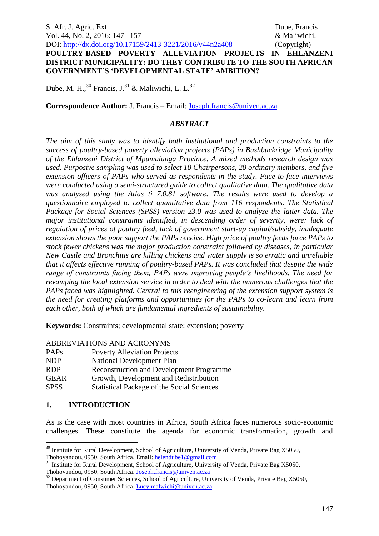# **POULTRY-BASED POVERTY ALLEVIATION PROJECTS IN EHLANZENI DISTRICT MUNICIPALITY: DO THEY CONTRIBUTE TO THE SOUTH AFRICAN GOVERNMENT'S 'DEVELOPMENTAL STATE' AMBITION?**

Dube, M. H.,  $^{30}$  Francis, J.<sup>31</sup> & Maliwichi, L. L.<sup>32</sup>

**Correspondence Author:** J. Francis – Email: [Joseph.francis@univen.ac.za](mailto:Joseph.francis@univen.ac.za)

# *ABSTRACT*

*The aim of this study was to identify both institutional and production constraints to the success of poultry-based poverty alleviation projects (PAPs) in Bushbuckridge Municipality of the Ehlanzeni District of Mpumalanga Province. A mixed methods research design was used. Purposive sampling was used to select 10 Chairpersons, 20 ordinary members, and five extension officers of PAPs who served as respondents in the study. Face-to-face interviews were conducted using a semi-structured guide to collect qualitative data. The qualitative data was analysed using the Atlas ti 7.0.81 software. The results were used to develop a questionnaire employed to collect quantitative data from 116 respondents. The Statistical Package for Social Sciences (SPSS) version 23.0 was used to analyze the latter data. The major institutional constraints identified, in descending order of severity, were: lack of regulation of prices of poultry feed, lack of government start-up capital/subsidy, inadequate extension shows the poor support the PAPs receive. High price of poultry feeds force PAPs to stock fewer chickens was the major production constraint followed by diseases, in particular New Castle and Bronchitis are killing chickens and water supply is so erratic and unreliable that it affects effective running of poultry-based PAPs. It was concluded that despite the wide range of constraints facing them, PAPs were improving people's livelihoods. The need for revamping the local extension service in order to deal with the numerous challenges that the PAPs faced was highlighted. Central to this reengineering of the extension support system is the need for creating platforms and opportunities for the PAPs to co-learn and learn from each other, both of which are fundamental ingredients of sustainability.*

**Keywords:** Constraints; developmental state; extension; poverty

# ABBREVIATIONS AND ACRONYMS

| PAP <sub>s</sub> | <b>Poverty Alleviation Projects</b>               |
|------------------|---------------------------------------------------|
| <b>NDP</b>       | <b>National Development Plan</b>                  |
| <b>RDP</b>       | <b>Reconstruction and Development Programme</b>   |
| <b>GEAR</b>      | Growth, Development and Redistribution            |
| <b>SPSS</b>      | <b>Statistical Package of the Social Sciences</b> |

# **1. INTRODUCTION**

1

As is the case with most countries in Africa, South Africa faces numerous socio-economic challenges. These constitute the agenda for economic transformation, growth and

<sup>&</sup>lt;sup>30</sup> Institute for Rural Development, School of Agriculture, University of Venda, Private Bag X5050, Thohoyandou, 0950, South Africa. Email: [helendube1@gmail.com](mailto:helendube1@gmail.com)

<sup>&</sup>lt;sup>31</sup> Institute for Rural Development, School of Agriculture, University of Venda, Private Bag X5050, Thohoyandou, 0950, South Africa. [Joseph.francis@univen.ac.za](mailto:Joseph.francis@univen.ac.za)

<sup>&</sup>lt;sup>32</sup> Department of Consumer Sciences, School of Agriculture, University of Venda, Private Bag X5050, Thohoyandou, 0950, South Africa. [Lucy.malwichi@univen.ac.za](mailto:Lucy.malwichi@univen.ac.za)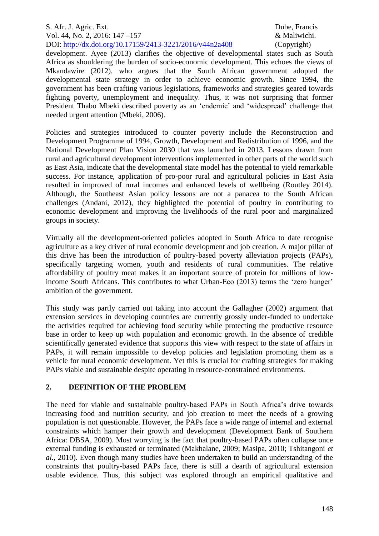development. Ayee (2013) clarifies the objective of developmental states such as South Africa as shouldering the burden of socio-economic development. This echoes the views of Mkandawire (2012), who argues that the South African government adopted the developmental state strategy in order to achieve economic growth. Since 1994, the government has been crafting various legislations, frameworks and strategies geared towards fighting poverty, unemployment and inequality. Thus, it was not surprising that former President Thabo Mbeki described poverty as an 'endemic' and 'widespread' challenge that needed urgent attention (Mbeki, 2006).

Policies and strategies introduced to counter poverty include the Reconstruction and Development Programme of 1994, Growth, Development and Redistribution of 1996, and the National Development Plan Vision 2030 that was launched in 2013. Lessons drawn from rural and agricultural development interventions implemented in other parts of the world such as East Asia, indicate that the developmental state model has the potential to yield remarkable success. For instance, application of pro-poor rural and agricultural policies in East Asia resulted in improved of rural incomes and enhanced levels of wellbeing (Routley 2014). Although, the Southeast Asian policy lessons are not a panacea to the South African challenges (Andani, 2012), they highlighted the potential of poultry in contributing to economic development and improving the livelihoods of the rural poor and marginalized groups in society.

Virtually all the development-oriented policies adopted in South Africa to date recognise agriculture as a key driver of rural economic development and job creation. A major pillar of this drive has been the introduction of poultry-based poverty alleviation projects (PAPs), specifically targeting women, youth and residents of rural communities. The relative affordability of poultry meat makes it an important source of protein for millions of lowincome South Africans. This contributes to what Urban-Eco (2013) terms the 'zero hunger' ambition of the government.

This study was partly carried out taking into account the Gallagher (2002) argument that extension services in developing countries are currently grossly under-funded to undertake the activities required for achieving food security while protecting the productive resource base in order to keep up with population and economic growth. In the absence of credible scientifically generated evidence that supports this view with respect to the state of affairs in PAPs, it will remain impossible to develop policies and legislation promoting them as a vehicle for rural economic development. Yet this is crucial for crafting strategies for making PAPs viable and sustainable despite operating in resource-constrained environments.

# **2. DEFINITION OF THE PROBLEM**

The need for viable and sustainable poultry-based PAPs in South Africa's drive towards increasing food and nutrition security, and job creation to meet the needs of a growing population is not questionable. However, the PAPs face a wide range of internal and external constraints which hamper their growth and development (Development Bank of Southern Africa: DBSA, 2009). Most worrying is the fact that poultry-based PAPs often collapse once external funding is exhausted or terminated (Makhalane, 2009; Masipa, 2010; Tshitangoni *et al.,* 2010). Even though many studies have been undertaken to build an understanding of the constraints that poultry-based PAPs face, there is still a dearth of agricultural extension usable evidence. Thus, this subject was explored through an empirical qualitative and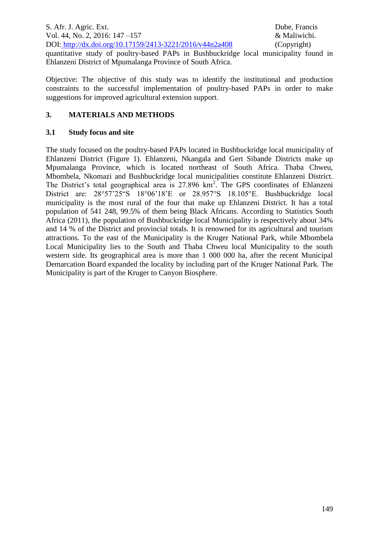quantitative study of poultry-based PAPs in Bushbuckridge local municipality found in Ehlanzeni District of Mpumalanga Province of South Africa.

Objective: The objective of this study was to identify the institutional and production constraints to the successful implementation of poultry-based PAPs in order to make suggestions for improved agricultural extension support.

## **3. MATERIALS AND METHODS**

## **3.1 Study focus and site**

The study focused on the poultry-based PAPs located in Bushbuckridge local municipality of Ehlanzeni District (Figure 1). Ehlanzeni, Nkangala and Gert Sibande Districts make up Mpumalanga Province, which is located northeast of South Africa. Thaba Chweu, Mbombela, Nkomazi and Bushbuckridge local municipalities constitute Ehlanzeni District. The District's total geographical area is  $27.896 \text{ km}^2$ . The GPS coordinates of Ehlanzeni District are: 28°57'25"S 18°06'18'E or 28.957°S 18.105°E. Bushbuckridge local municipality is the most rural of the four that make up Ehlanzeni District. It has a total population of 541 248, 99.5% of them being Black Africans. According to Statistics South Africa (2011), the population of Bushbuckridge local Municipality is respectively about 34% and 14 % of the District and provincial totals. It is renowned for its agricultural and tourism attractions. To the east of the Municipality is the Kruger National Park, while Mbombela Local Municipality lies to the South and Thaba Chweu local Municipality to the south western side. Its geographical area is more than 1 000 000 ha, after the recent Municipal Demarcation Board expanded the locality by including part of the Kruger National Park. The Municipality is part of the Kruger to Canyon Biosphere.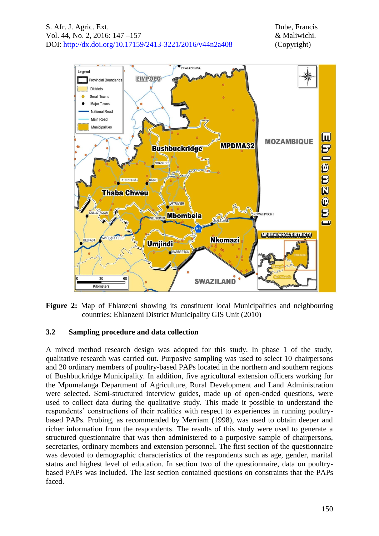

**Figure 2:** Map of Ehlanzeni showing its constituent local Municipalities and neighbouring countries: Ehlanzeni District Municipality GIS Unit (2010)

# **3.2 Sampling procedure and data collection**

A mixed method research design was adopted for this study. In phase 1 of the study, qualitative research was carried out. Purposive sampling was used to select 10 chairpersons and 20 ordinary members of poultry-based PAPs located in the northern and southern regions of Bushbuckridge Municipality. In addition, five agricultural extension officers working for the Mpumalanga Department of Agriculture, Rural Development and Land Administration were selected. Semi-structured interview guides, made up of open-ended questions, were used to collect data during the qualitative study. This made it possible to understand the respondents' constructions of their realities with respect to experiences in running poultrybased PAPs. Probing, as recommended by Merriam (1998), was used to obtain deeper and richer information from the respondents. The results of this study were used to generate a structured questionnaire that was then administered to a purposive sample of chairpersons, secretaries, ordinary members and extension personnel. The first section of the questionnaire was devoted to demographic characteristics of the respondents such as age, gender, marital status and highest level of education. In section two of the questionnaire, data on poultrybased PAPs was included. The last section contained questions on constraints that the PAPs faced.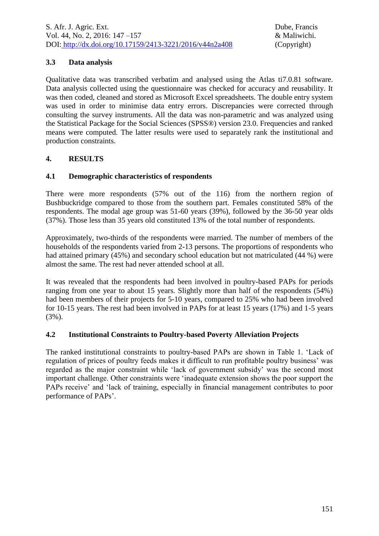# **3.3 Data analysis**

Qualitative data was transcribed verbatim and analysed using the Atlas ti7.0.81 software. Data analysis collected using the questionnaire was checked for accuracy and reusability. It was then coded, cleaned and stored as Microsoft Excel spreadsheets. The double entry system was used in order to minimise data entry errors. Discrepancies were corrected through consulting the survey instruments. All the data was non-parametric and was analyzed using the Statistical Package for the Social Sciences (SPSS®) version 23.0. Frequencies and ranked means were computed. The latter results were used to separately rank the institutional and production constraints.

# **4. RESULTS**

# **4.1 Demographic characteristics of respondents**

There were more respondents (57% out of the 116) from the northern region of Bushbuckridge compared to those from the southern part. Females constituted 58% of the respondents. The modal age group was 51-60 years (39%), followed by the 36-50 year olds (37%). Those less than 35 years old constituted 13% of the total number of respondents.

Approximately, two-thirds of the respondents were married. The number of members of the households of the respondents varied from 2-13 persons. The proportions of respondents who had attained primary (45%) and secondary school education but not matriculated (44 %) were almost the same. The rest had never attended school at all.

It was revealed that the respondents had been involved in poultry-based PAPs for periods ranging from one year to about 15 years. Slightly more than half of the respondents (54%) had been members of their projects for 5-10 years, compared to 25% who had been involved for 10-15 years. The rest had been involved in PAPs for at least 15 years (17%) and 1-5 years (3%).

# **4.2 Institutional Constraints to Poultry-based Poverty Alleviation Projects**

The ranked institutional constraints to poultry-based PAPs are shown in Table 1. 'Lack of regulation of prices of poultry feeds makes it difficult to run profitable poultry business' was regarded as the major constraint while 'lack of government subsidy' was the second most important challenge. Other constraints were 'inadequate extension shows the poor support the PAPs receive' and 'lack of training, especially in financial management contributes to poor performance of PAPs'.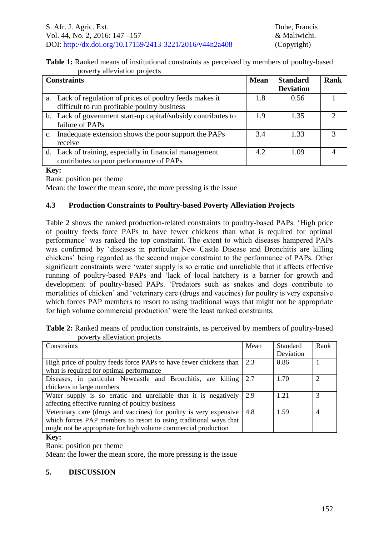|                              | Table 1: Ranked means of institutional constraints as perceived by members of poultry-based |  |
|------------------------------|---------------------------------------------------------------------------------------------|--|
| poverty alleviation projects |                                                                                             |  |

| <b>Constraints</b> |                                                               | <b>Mean</b> | <b>Standard</b>  | Rank |
|--------------------|---------------------------------------------------------------|-------------|------------------|------|
|                    |                                                               |             | <b>Deviation</b> |      |
|                    | a. Lack of regulation of prices of poultry feeds makes it     | 1.8         | 0.56             |      |
|                    | difficult to run profitable poultry business                  |             |                  |      |
|                    | b. Lack of government start-up capital/subsidy contributes to | 1.9         | 1.35             |      |
|                    | failure of PAPs                                               |             |                  |      |
| $c_{\cdot}$        | Inadequate extension shows the poor support the PAPs          | 3.4         | 1.33             | 3    |
|                    | receive                                                       |             |                  |      |
|                    | d. Lack of training, especially in financial management       | 4.2         | 1.09             |      |
|                    | contributes to poor performance of PAPs                       |             |                  |      |

#### **Key:**

Rank: position per theme

Mean: the lower the mean score, the more pressing is the issue

### **4.3 Production Constraints to Poultry-based Poverty Alleviation Projects**

Table 2 shows the ranked production-related constraints to poultry-based PAPs. 'High price of poultry feeds force PAPs to have fewer chickens than what is required for optimal performance' was ranked the top constraint. The extent to which diseases hampered PAPs was confirmed by 'diseases in particular New Castle Disease and Bronchitis are killing chickens' being regarded as the second major constraint to the performance of PAPs. Other significant constraints were 'water supply is so erratic and unreliable that it affects effective running of poultry-based PAPs and 'lack of local hatchery is a barrier for growth and development of poultry-based PAPs. 'Predators such as snakes and dogs contribute to mortalities of chicken' and 'veterinary care (drugs and vaccines) for poultry is very expensive which forces PAP members to resort to using traditional ways that might not be appropriate for high volume commercial production' were the least ranked constraints.

**Table 2:** Ranked means of production constraints, as perceived by members of poultry-based poverty alleviation projects

| Constraints                                                        | Mean              | Standard  | Rank           |
|--------------------------------------------------------------------|-------------------|-----------|----------------|
|                                                                    |                   | Deviation |                |
| High price of poultry feeds force PAPs to have fewer chickens than | $\vert 2.3 \vert$ | 0.86      |                |
| what is required for optimal performance                           |                   |           |                |
| Diseases, in particular Newcastle and Bronchitis, are killing 2.7  |                   | 1.70      | $\mathcal{D}$  |
| chickens in large numbers                                          |                   |           |                |
| Water supply is so erratic and unreliable that it is negatively    | 2.9               | 1.21      | 3              |
| affecting effective running of poultry business                    |                   |           |                |
| Veterinary care (drugs and vaccines) for poultry is very expensive | 4.8               | 1.59      | $\overline{4}$ |
| which forces PAP members to resort to using traditional ways that  |                   |           |                |
| might not be appropriate for high volume commercial production     |                   |           |                |

#### **Key:**

Rank: position per theme

Mean: the lower the mean score, the more pressing is the issue

# **5. DISCUSSION**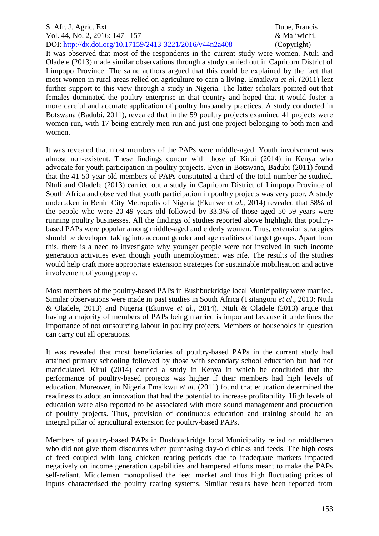It was observed that most of the respondents in the current study were women. Ntuli and Oladele (2013) made similar observations through a study carried out in Capricorn District of Limpopo Province. The same authors argued that this could be explained by the fact that most women in rural areas relied on agriculture to earn a living. Emaikwu *et al*. (2011) lent further support to this view through a study in Nigeria. The latter scholars pointed out that females dominated the poultry enterprise in that country and hoped that it would foster a more careful and accurate application of poultry husbandry practices. A study conducted in Botswana (Badubi, 2011), revealed that in the 59 poultry projects examined 41 projects were women-run, with 17 being entirely men-run and just one project belonging to both men and women.

It was revealed that most members of the PAPs were middle-aged. Youth involvement was almost non-existent. These findings concur with those of Kirui (2014) in Kenya who advocate for youth participation in poultry projects. Even in Botswana, Badubi (2011) found that the 41-50 year old members of PAPs constituted a third of the total number he studied. Ntuli and Oladele (2013) carried out a study in Capricorn District of Limpopo Province of South Africa and observed that youth participation in poultry projects was very poor. A study undertaken in Benin City Metropolis of Nigeria (Ekunwe *et al.,* 2014) revealed that 58% of the people who were 20-49 years old followed by 33.3% of those aged 50-59 years were running poultry businesses. All the findings of studies reported above highlight that poultrybased PAPs were popular among middle-aged and elderly women. Thus, extension strategies should be developed taking into account gender and age realities of target groups. Apart from this, there is a need to investigate why younger people were not involved in such income generation activities even though youth unemployment was rife. The results of the studies would help craft more appropriate extension strategies for sustainable mobilisation and active involvement of young people.

Most members of the poultry-based PAPs in Bushbuckridge local Municipality were married. Similar observations were made in past studies in South Africa (Tsitangoni *et al*., 2010; Ntuli & Oladele, 2013) and Nigeria (Ekunwe *et al*., 2014). Ntuli & Oladele (2013) argue that having a majority of members of PAPs being married is important because it underlines the importance of not outsourcing labour in poultry projects. Members of households in question can carry out all operations.

It was revealed that most beneficiaries of poultry-based PAPs in the current study had attained primary schooling followed by those with secondary school education but had not matriculated. Kirui (2014) carried a study in Kenya in which he concluded that the performance of poultry-based projects was higher if their members had high levels of education. Moreover, in Nigeria Emaikwu *et al.* (2011) found that education determined the readiness to adopt an innovation that had the potential to increase profitability. High levels of education were also reported to be associated with more sound management and production of poultry projects. Thus, provision of continuous education and training should be an integral pillar of agricultural extension for poultry-based PAPs.

Members of poultry-based PAPs in Bushbuckridge local Municipality relied on middlemen who did not give them discounts when purchasing day-old chicks and feeds. The high costs of feed coupled with long chicken rearing periods due to inadequate markets impacted negatively on income generation capabilities and hampered efforts meant to make the PAPs self-reliant. Middlemen monopolised the feed market and thus high fluctuating prices of inputs characterised the poultry rearing systems. Similar results have been reported from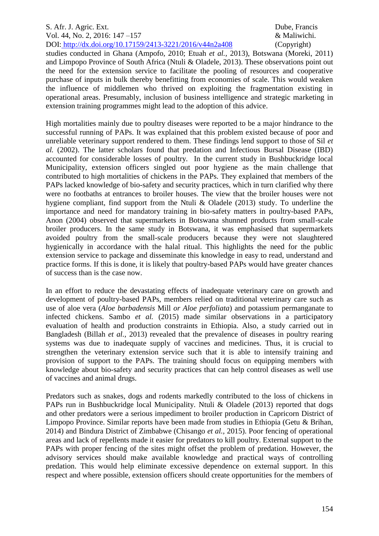studies conducted in Ghana (Ampofo, 2010; Etuah *et al.,* 2013), Botswana (Moreki, 2011) and Limpopo Province of South Africa (Ntuli & Oladele, 2013). These observations point out the need for the extension service to facilitate the pooling of resources and cooperative purchase of inputs in bulk thereby benefitting from economies of scale. This would weaken the influence of middlemen who thrived on exploiting the fragmentation existing in operational areas. Presumably, inclusion of business intelligence and strategic marketing in extension training programmes might lead to the adoption of this advice.

High mortalities mainly due to poultry diseases were reported to be a major hindrance to the successful running of PAPs. It was explained that this problem existed because of poor and unreliable veterinary support rendered to them. These findings lend support to those of Sil *et al.* (2002). The latter scholars found that predation and Infectious Bursal Disease (IBD) accounted for considerable losses of poultry. In the current study in Bushbuckridge local Municipality, extension officers singled out poor hygiene as the main challenge that contributed to high mortalities of chickens in the PAPs. They explained that members of the PAPs lacked knowledge of bio-safety and security practices, which in turn clarified why there were no footbaths at entrances to broiler houses. The view that the broiler houses were not hygiene compliant, find support from the Ntuli & Oladele (2013) study. To underline the importance and need for mandatory training in bio-safety matters in poultry-based PAPs, Anon (2004) observed that supermarkets in Botswana shunned products from small-scale broiler producers. In the same study in Botswana, it was emphasised that supermarkets avoided poultry from the small-scale producers because they were not slaughtered hygienically in accordance with the halal ritual. This highlights the need for the public extension service to package and disseminate this knowledge in easy to read, understand and practice forms. If this is done, it is likely that poultry-based PAPs would have greater chances of success than is the case now.

In an effort to reduce the devastating effects of inadequate veterinary care on growth and development of poultry-based PAPs, members relied on traditional veterinary care such as use of aloe vera (*Aloe barbadensis* Mill *or Aloe perfoliata*) and potassium permanganate to infected chickens. Sambo *et al.* (2015) made similar observations in a participatory evaluation of health and production constraints in Ethiopia. Also, a study carried out in Bangladesh (Billah *et al.,* 2013) revealed that the prevalence of diseases in poultry rearing systems was due to inadequate supply of vaccines and medicines. Thus, it is crucial to strengthen the veterinary extension service such that it is able to intensify training and provision of support to the PAPs. The training should focus on equipping members with knowledge about bio-safety and security practices that can help control diseases as well use of vaccines and animal drugs.

Predators such as snakes, dogs and rodents markedly contributed to the loss of chickens in PAPs run in Bushbuckridge local Municipality. Ntuli & Oladele (2013) reported that dogs and other predators were a serious impediment to broiler production in Capricorn District of Limpopo Province. Similar reports have been made from studies in Ethiopia (Getu & Brihan, 2014) and Bindura District of Zimbabwe (Chisango *et al.,* 2015). Poor fencing of operational areas and lack of repellents made it easier for predators to kill poultry. External support to the PAPs with proper fencing of the sites might offset the problem of predation. However, the advisory services should make available knowledge and practical ways of controlling predation. This would help eliminate excessive dependence on external support. In this respect and where possible, extension officers should create opportunities for the members of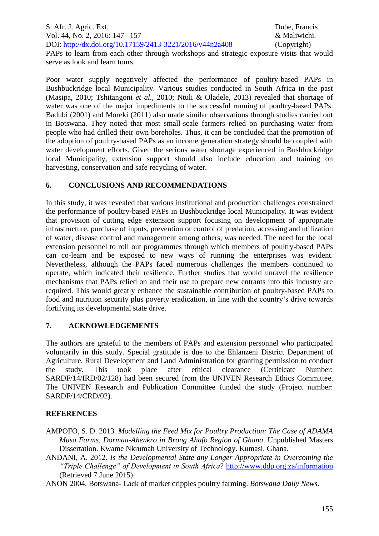PAPs to learn from each other through workshops and strategic exposure visits that would serve as look and learn tours.

Poor water supply negatively affected the performance of poultry-based PAPs in Bushbuckridge local Municipality. Various studies conducted in South Africa in the past (Masipa, 2010; Tshitangoni *et al.,* 2010; Ntuli & Oladele, 2013) revealed that shortage of water was one of the major impediments to the successful running of poultry-based PAPs. Badubi (2001) and Moreki (2011) also made similar observations through studies carried out in Botswana. They noted that most small-scale farmers relied on purchasing water from people who had drilled their own boreholes. Thus, it can be concluded that the promotion of the adoption of poultry-based PAPs as an income generation strategy should be coupled with water development efforts. Given the serious water shortage experienced in Bushbuckridge local Municipality, extension support should also include education and training on harvesting, conservation and safe recycling of water.

# **6. CONCLUSIONS AND RECOMMENDATIONS**

In this study, it was revealed that various institutional and production challenges constrained the performance of poultry-based PAPs in Bushbuckridge local Municipality. It was evident that provision of cutting edge extension support focusing on development of appropriate infrastructure, purchase of inputs, prevention or control of predation, accessing and utilization of water, disease control and management among others, was needed. The need for the local extension personnel to roll out programmes through which members of poultry-based PAPs can co-learn and be exposed to new ways of running the enterprises was evident. Nevertheless, although the PAPs faced numerous challenges the members continued to operate, which indicated their resilience. Further studies that would unravel the resilience mechanisms that PAPs relied on and their use to prepare new entrants into this industry are required. This would greatly enhance the sustainable contribution of poultry-based PAPs to food and nutrition security plus poverty eradication, in line with the country's drive towards fortifying its developmental state drive.

# **7. ACKNOWLEDGEMENTS**

The authors are grateful to the members of PAPs and extension personnel who participated voluntarily in this study. Special gratitude is due to the Ehlanzeni District Department of Agriculture, Rural Development and Land Administration for granting permission to conduct the study. This took place after ethical clearance (Certificate Number: SARDF/14/IRD/02/128) had been secured from the UNIVEN Research Ethics Committee. The UNIVEN Research and Publication Committee funded the study (Project number: SARDF/14/CRD/02).

# **REFERENCES**

- AMPOFO, S. D. 2013. *Modelling the Feed Mix for Poultry Production: The Case of ADAMA Musa Farms, Dormaa-Ahenkro in Brong Ahafo Region of Ghana*. Unpublished Masters Dissertation. Kwame Nkrumah University of Technology. Kumasi. Ghana.
- ANDANI, A. 2012. *Is the Developmental State any Longer Appropriate in Overcoming the "Triple Challenge" of Development in South Africa*?<http://www.ddp.org.za/information> (Retrieved 7 June 2015).

ANON 2004. Botswana- Lack of market cripples poultry farming. *Botswana Daily News*.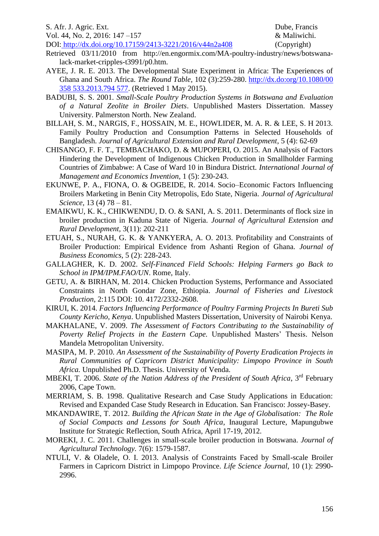#### S. Afr. J. Agric. Ext. Dube, Francis

Vol. 44, No. 2, 2016: 147 –157 & Maliwichi.

DOI: http://dx.doi.org/10.17159/2413-3221/2016/v44n2a408 (Copyright)

- Retrieved 03/11/2010 from http://en.engormix.com/MA-poultry-industry/news/botswanalack-market-cripples-t3991/p0.htm.
- AYEE, J. R. E. 2013. The Developmental State Experiment in Africa: The Experiences of Ghana and South Africa. *The Round Table,* 102 (3):259-280. [http://dx.do:org/10.1080/00](http://dx.do:org/10.1080/00%20358 533.2013.794%20577)  358 [533.2013.794 577.](http://dx.do:org/10.1080/00%20358 533.2013.794%20577) (Retrieved 1 May 2015).
- BADUBI, S. S. 2001. *Small-Scale Poultry Production Systems in Botswana and Evaluation of a Natural Zeolite in Broiler Diets*. Unpublished Masters Dissertation. Massey University. Palmerston North. New Zealand.
- BILLAH, S. M., NARGIS, F., HOSSAIN, M. E., HOWLIDER, M. A. R. & LEE, S. H 2013. Family Poultry Production and Consumption Patterns in Selected Households of Bangladesh. *Journal of Agricultural Extension and Rural Development*, 5 (4): 62-69
- CHISANGO, F. F. T., TEMBACHAKO, D. & MUPOPERI, O. 2015. An Analysis of Factors Hindering the Development of Indigenous Chicken Production in Smallholder Farming Countries of Zimbabwe: A Case of Ward 10 in Bindura District. *International Journal of Management and Economics Invention*, 1 (5): 230-243.
- EKUNWE, P. A., FIONA, O. & OGBEIDE, R. 2014. Socio–Economic Factors Influencing Broilers Marketing in Benin City Metropolis, Edo State, Nigeria. *Journal of Agricultural Science,* 13 (4) 78 – 81.
- EMAIKWU, K. K., CHIKWENDU, D. O. & SANI, A. S. 2011. Determinants of flock size in broiler production in Kaduna State of Nigeria. *Journal of Agricultural Extension and Rural Development,* 3(11): 202-211
- ETUAH, S., NURAH, G. K. & YANKYERA, A. O. 2013. Profitability and Constraints of Broiler Production: Empirical Evidence from Ashanti Region of Ghana. *Journal of Business Economics,* 5 (2): 228-243.
- GALLAGHER, K. D. 2002. *Self-Financed Field Schools: Helping Farmers go Back to School in IPM/IPM.FAO/UN*. Rome, Italy.
- GETU, A. & BIRHAN, M. 2014. Chicken Production Systems, Performance and Associated Constraints in North Gondar Zone, Ethiopia. *Journal of Fisheries and Livestock Production*, 2:115 DOI: 10. 4172/2332-2608.
- KIRUI, K. 2014. *Factors Influencing Performance of Poultry Farming Projects In Bureti Sub County Kericho, Kenya*. Unpublished Masters Dissertation, University of Nairobi Kenya.
- MAKHALANE, V. 2009. *The Assessment of Factors Contributing to the Sustainability of Poverty Relief Projects in the Eastern Cape.* Unpublished Masters' Thesis. Nelson Mandela Metropolitan University.
- MASIPA, M. P. 2010. *An Assessment of the Sustainability of Poverty Eradication Projects in Rural Communities of Capricorn District Municipality: Limpopo Province in South Africa.* Unpublished Ph.D. Thesis. University of Venda.
- MBEKI, T. 2006. *State of the Nation Address of the President of South Africa*, 3<sup>rd</sup> February 2006, Cape Town.
- MERRIAM, S. B. 1998. Qualitative Research and Case Study Applications in Education: Revised and Expanded Case Study Research in Education*.* San Francisco: Jossey-Basey.
- MKANDAWIRE, T. 2012. *Building the African State in the Age of Globalisation: The Role of Social Compacts and Lessons for South Africa*, Inaugural Lecture, Mapungubwe Institute for Strategic Reflection, South Africa, April 17-19, 2012.
- MOREKI, J. C. 2011. Challenges in small-scale broiler production in Botswana. *Journal of Agricultural Technology.* 7(6): 1579-1587.
- NTULI, V. & Oladele, O. I. 2013. Analysis of Constraints Faced by Small-scale Broiler Farmers in Capricorn District in Limpopo Province. *Life Science Journal,* 10 (1): 2990- 2996.